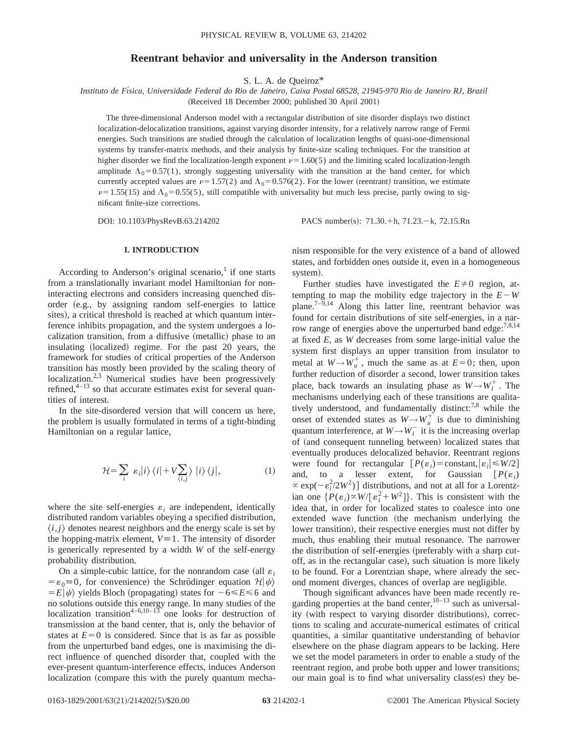# **Reentrant behavior and universality in the Anderson transition**

S. L. A. de Queiroz\*

*Instituto de Fı´sica, Universidade Federal do Rio de Janeiro, Caixa Postal 68528, 21945-970 Rio de Janeiro RJ, Brazil* (Received 18 December 2000; published 30 April 2001)

The three-dimensional Anderson model with a rectangular distribution of site disorder displays two distinct localization-delocalization transitions, against varying disorder intensity, for a relatively narrow range of Fermi energies. Such transitions are studied through the calculation of localization lengths of quasi-one-dimensional systems by transfer-matrix methods, and their analysis by finite-size scaling techniques. For the transition at higher disorder we find the localization-length exponent  $\nu=1.60(5)$  and the limiting scaled localization-length amplitude  $\Lambda_0$ =0.57(1), strongly suggesting universality with the transition at the band center, for which currently accepted values are  $\nu=1.57(2)$  and  $\Lambda_0=0.576(2)$ . For the lower (reentrant) transition, we estimate  $\nu=1.55(15)$  and  $\Lambda_0=0.55(5)$ , still compatible with universality but much less precise, partly owing to significant finite-size corrections.

DOI: 10.1103/PhysRevB.63.214202 PACS number(s): 71.30.+h, 71.23.-k, 72.15.Rn

### **I. INTRODUCTION**

According to Anderson's original scenario, $1$  if one starts from a translationally invariant model Hamiltonian for noninteracting electrons and considers increasing quenched disorder (e.g., by assigning random self-energies to lattice sites), a critical threshold is reached at which quantum interference inhibits propagation, and the system undergoes a localization transition, from a diffusive (metallic) phase to an insulating (localized) regime. For the past 20 years, the framework for studies of critical properties of the Anderson transition has mostly been provided by the scaling theory of localization.<sup>2,3</sup> Numerical studies have been progressively refined, $4-13$  so that accurate estimates exist for several quantities of interest.

In the site-disordered version that will concern us here, the problem is usually formulated in terms of a tight-binding Hamiltonian on a regular lattice,

$$
\mathcal{H} = \sum_{i} \varepsilon_{i} |i\rangle \langle i| + V \sum_{\langle i,j \rangle} |i\rangle \langle j|, \tag{1}
$$

where the site self-energies  $\varepsilon_i$  are independent, identically distributed random variables obeying a specified distribution,  $\langle i, j \rangle$  denotes nearest neighbors and the energy scale is set by the hopping-matrix element,  $V=1$ . The intensity of disorder is generically represented by a width *W* of the self-energy probability distribution.

On a simple-cubic lattice, for the nonrandom case (all  $\varepsilon_i$ )  $= \varepsilon_0 = 0$ , for convenience) the Schrödinger equation  $\mathcal{H}|\psi\rangle$  $E|\psi\rangle$  yields Bloch (propagating) states for  $-6 \le E \le 6$  and no solutions outside this energy range. In many studies of the localization transition<sup>4–6,10–13</sup> one looks for destruction of transmission at the band center, that is, only the behavior of states at  $E=0$  is considered. Since that is as far as possible from the unperturbed band edges, one is maximising the direct influence of quenched disorder that, coupled with the ever-present quantum-interference effects, induces Anderson localization (compare this with the purely quantum mechanism responsible for the very existence of a band of allowed states, and forbidden ones outside it, even in a homogeneous system).

Further studies have investigated the  $E \neq 0$  region, attempting to map the mobility edge trajectory in the  $E-W$ plane.<sup>7–9,14</sup> Along this latter line, reentrant behavior was found for certain distributions of site self-energies, in a narrow range of energies above the unperturbed band edge: $^{7,8,14}$ at fixed *E*, as *W* decreases from some large-initial value the system first displays an upper transition from insulator to metal at  $W \rightarrow W^+_u$ , much the same as at  $E=0$ ; then, upon further reduction of disorder a second, lower transition takes place, back towards an insulating phase as  $W \rightarrow W_l^+$ . The mechanisms underlying each of these transitions are qualitatively understood, and fundamentally distinct:<sup>7,8</sup> while the onset of extended states as  $W \rightarrow W^+_\mu$  is due to diminishing quantum interference, at  $W \rightarrow W_l^-$  it is the increasing overlap of (and consequent tunneling between) localized states that eventually produces delocalized behavior. Reentrant regions were found for rectangular  $[P(\varepsilon_i) = \text{constant}, |\varepsilon_i| \leq W/2]$ and, to a lesser extent, for Gaussian  $[P(\varepsilon_i)]$  $\propto$  exp( $-e_i^2/2W^2$ )] distributions, and not at all for a Lorentzian one  $\{P(\varepsilon_i) \propto W/[\varepsilon_i^2 + W^2]\}$ . This is consistent with the idea that, in order for localized states to coalesce into one extended wave function (the mechanism underlying the lower transition), their respective energies must not differ by much, thus enabling their mutual resonance. The narrower the distribution of self-energies (preferably with a sharp cutoff, as in the rectangular case), such situation is more likely to be found. For a Lorentzian shape, where already the second moment diverges, chances of overlap are negligible.

Though significant advances have been made recently regarding properties at the band center,  $10-13$  such as universality (with respect to varying disorder distributions), corrections to scaling and accurate-numerical estimates of critical quantities, a similar quantitative understanding of behavior elsewhere on the phase diagram appears to be lacking. Here we set the model parameters in order to enable a study of the reentrant region, and probe both upper and lower transitions; our main goal is to find what universality class(es) they be-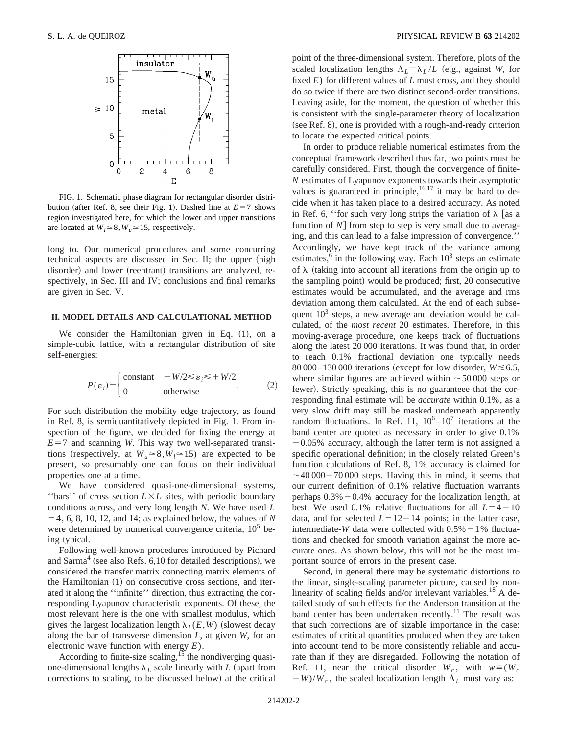

FIG. 1. Schematic phase diagram for rectangular disorder distribution (after Ref. 8, see their Fig. 1). Dashed line at  $E=7$  shows region investigated here, for which the lower and upper transitions are located at  $W_l \approx 8$ ,  $W_u \approx 15$ , respectively.

long to. Our numerical procedures and some concurring technical aspects are discussed in Sec. II; the upper (high disorder) and lower (reentrant) transitions are analyzed, respectively, in Sec. III and IV; conclusions and final remarks are given in Sec. V.

### **II. MODEL DETAILS AND CALCULATIONAL METHOD**

We consider the Hamiltonian given in Eq.  $(1)$ , on a simple-cubic lattice, with a rectangular distribution of site self-energies:

$$
P(\varepsilon_i) = \begin{cases} \text{constant} & -W/2 \le \varepsilon_i \le +W/2\\ 0 & \text{otherwise} \end{cases} \tag{2}
$$

For such distribution the mobility edge trajectory, as found in Ref. 8, is semiquantitatively depicted in Fig. 1. From inspection of the figure, we decided for fixing the energy at  $E=7$  and scanning *W*. This way two well-separated transitions (respectively, at  $W_u \approx 8, W_l \approx 15$ ) are expected to be present, so presumably one can focus on their individual properties one at a time.

We have considered quasi-one-dimensional systems, "bars" of cross section  $L \times L$  sites, with periodic boundary conditions across, and very long length *N*. We have used *L*  $=$  4, 6, 8, 10, 12, and 14; as explained below, the values of *N* were determined by numerical convergence criteria,  $10<sup>5</sup>$  being typical.

Following well-known procedures introduced by Pichard and Sarma<sup>4</sup> (see also Refs. 6,10 for detailed descriptions), we considered the transfer matrix connecting matrix elements of the Hamiltonian  $(1)$  on consecutive cross sections, and iterated it along the ''infinite'' direction, thus extracting the corresponding Lyapunov characteristic exponents. Of these, the most relevant here is the one with smallest modulus, which gives the largest localization length  $\lambda_L(E, W)$  (slowest decay along the bar of transverse dimension *L*, at given *W*, for an electronic wave function with energy *E*).

According to finite-size scaling, $15$  the nondiverging quasione-dimensional lengths  $\lambda_L$  scale linearly with *L* (apart from corrections to scaling, to be discussed below) at the critical point of the three-dimensional system. Therefore, plots of the scaled localization lengths  $\Lambda_L \equiv \lambda_L / L$  (e.g., against *W*, for fixed *E*) for different values of *L* must cross, and they should do so twice if there are two distinct second-order transitions. Leaving aside, for the moment, the question of whether this is consistent with the single-parameter theory of localization  $(see Ref. 8)$ , one is provided with a rough-and-ready criterion to locate the expected critical points.

In order to produce reliable numerical estimates from the conceptual framework described thus far, two points must be carefully considered. First, though the convergence of finite-*N* estimates of Lyapunov exponents towards their asymptotic values is guaranteed in principle,  $^{16,17}$  it may be hard to decide when it has taken place to a desired accuracy. As noted in Ref. 6, "for such very long strips the variation of  $\lambda$  [as a function of  $N$  from step to step is very small due to averaging, and this can lead to a false impression of convergence.'' Accordingly, we have kept track of the variance among estimates, $6$  in the following way. Each  $10<sup>3</sup>$  steps an estimate of  $\lambda$  (taking into account all iterations from the origin up to the sampling point) would be produced; first, 20 consecutive estimates would be accumulated, and the average and rms deviation among them calculated. At the end of each subsequent  $10<sup>3</sup>$  steps, a new average and deviation would be calculated, of the *most recent* 20 estimates. Therefore, in this moving-average procedure, one keeps track of fluctuations along the latest 20 000 iterations. It was found that, in order to reach 0.1% fractional deviation one typically needs 80 000–130 000 iterations (except for low disorder,  $W \le 6.5$ , where similar figures are achieved within  $\sim$  50 000 steps or fewer). Strictly speaking, this is no guaranteee that the corresponding final estimate will be *accurate* within 0.1%, as a very slow drift may still be masked underneath apparently random fluctuations. In Ref. 11,  $10^6 - 10^7$  iterations at the band center are quoted as necessary in order to give 0.1%

 $-0.05\%$  accuracy, although the latter term is not assigned a specific operational definition; in the closely related Green's function calculations of Ref. 8, 1% accuracy is claimed for  $\sim$  40 000 – 70 000 steps. Having this in mind, it seems that our current definition of 0.1% relative fluctuation warrants perhaps  $0.3\% - 0.4\%$  accuracy for the localization length, at best. We used 0.1% relative fluctuations for all  $L=4-10$ data, and for selected  $L=12-14$  points; in the latter case, intermediate-*W* data were collected with  $0.5\% - 1\%$  fluctuations and checked for smooth variation against the more accurate ones. As shown below, this will not be the most important source of errors in the present case.

Second, in general there may be systematic distortions to the linear, single-scaling parameter picture, caused by nonlinearity of scaling fields and/or irrelevant variables.<sup>18</sup> A detailed study of such effects for the Anderson transition at the band center has been undertaken recently.<sup>11</sup> The result was that such corrections are of sizable importance in the case: estimates of critical quantities produced when they are taken into account tend to be more consistently reliable and accurate than if they are disregarded. Following the notation of Ref. 11, near the critical disorder  $W_c$ , with  $w \equiv (W_c$  $-W$ /*W<sub>c</sub>*, the scaled localization length  $\Lambda_L$  must vary as: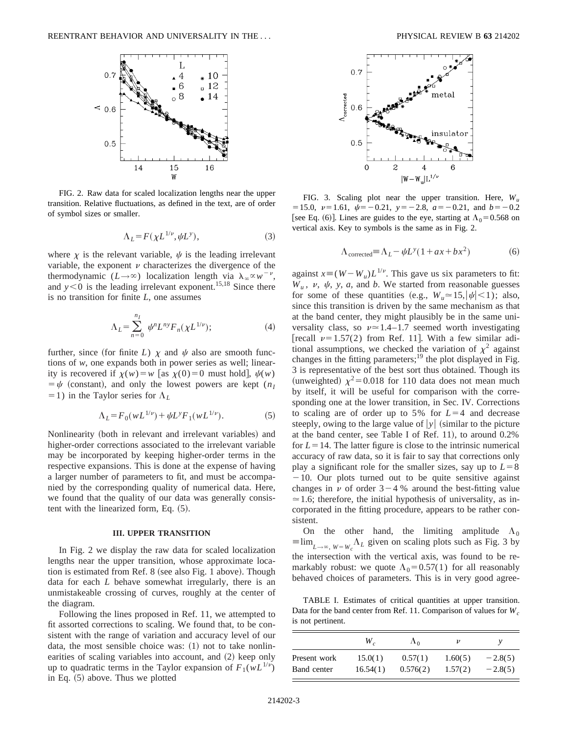

FIG. 2. Raw data for scaled localization lengths near the upper transition. Relative fluctuations, as defined in the text, are of order of symbol sizes or smaller.

$$
\Lambda_L = F(\chi L^{1/\nu}, \psi L^{\nu}),\tag{3}
$$

where  $\chi$  is the relevant variable,  $\psi$  is the leading irrelevant variable, the exponent  $\nu$  characterizes the divergence of the thermodynamic  $(L \rightarrow \infty)$  localization length via  $\lambda_{\infty} \propto w^{-\nu}$ , and  $y < 0$  is the leading irrelevant exponent.<sup>15,18</sup> Since there is no transition for finite *L*, one assumes

$$
\Lambda_L = \sum_{n=0}^{n_I} \psi^n L^{n\gamma} F_n(\chi L^{1/\nu});\tag{4}
$$

further, since (for finite *L*)  $\chi$  and  $\psi$  also are smooth functions of *w*, one expands both in power series as well; linearity is recovered if  $\chi(w) = w$  [as  $\chi(0) = 0$  must hold],  $\psi(w)$  $=$   $\psi$  (constant), and only the lowest powers are kept ( $n_I$  $=1$ ) in the Taylor series for  $\Lambda_L$ 

$$
\Lambda_L = F_0(wL^{1/\nu}) + \psi L^{\nu} F_1(wL^{1/\nu}).
$$
\n(5)

Nonlinearity (both in relevant and irrelevant variables) and higher-order corrections associated to the irrelevant variable may be incorporated by keeping higher-order terms in the respective expansions. This is done at the expense of having a larger number of parameters to fit, and must be accompanied by the corresponding quality of numerical data. Here, we found that the quality of our data was generally consistent with the linearized form, Eq.  $(5)$ .

#### **III. UPPER TRANSITION**

In Fig. 2 we display the raw data for scaled localization lengths near the upper transition, whose approximate location is estimated from Ref.  $8$  (see also Fig. 1 above). Though data for each *L* behave somewhat irregularly, there is an unmistakeable crossing of curves, roughly at the center of the diagram.

Following the lines proposed in Ref. 11, we attempted to fit assorted corrections to scaling. We found that, to be consistent with the range of variation and accuracy level of our data, the most sensible choice was:  $(1)$  not to take nonlinearities of scaling variables into account, and (2) keep only up to quadratic terms in the Taylor expansion of  $F_1(wL^{1/\nu})$ in Eq.  $(5)$  above. Thus we plotted



FIG. 3. Scaling plot near the upper transition. Here, *Wu*  $= 15.0, \nu = 1.61, \psi = -0.21, \nu = -2.8, a = -0.21, \text{ and } b = -0.21$ [see Eq. (6)]. Lines are guides to the eye, starting at  $\Lambda_0 = 0.568$  on vertical axis. Key to symbols is the same as in Fig. 2.

$$
\Lambda_{\text{corrected}} = \Lambda_L - \psi L^y (1 + ax + bx^2) \tag{6}
$$

against  $x \equiv (W - W_u)L^{1/\nu}$ . This gave us six parameters to fit:  $W_u$ ,  $v$ ,  $\psi$ ,  $y$ ,  $a$ , and  $b$ . We started from reasonable guesses for some of these quantities (e.g.,  $W_u \approx 15$ ,  $|\psi|$  < 1); also, since this transition is driven by the same mechanism as that at the band center, they might plausibly be in the same universality class, so  $\nu \approx 1.4-1.7$  seemed worth investigating [recall  $\nu=1.57(2)$  from Ref. 11]. With a few similar aditional assumptions, we checked the variation of  $\chi^2$  against changes in the fitting parameters;<sup>19</sup> the plot displayed in Fig. 3 is representative of the best sort thus obtained. Though its (unweighted)  $\chi^2$ =0.018 for 110 data does not mean much by itself, it will be useful for comparison with the corresponding one at the lower transition, in Sec. IV. Corrections to scaling are of order up to 5% for  $L=4$  and decrease steeply, owing to the large value of  $|y|$  (similar to the picture at the band center, see Table I of Ref.  $11$ ), to around 0.2% for  $L=14$ . The latter figure is close to the intrinsic numerical accuracy of raw data, so it is fair to say that corrections only play a significant role for the smaller sizes, say up to  $L=8$  $-10$ . Our plots turned out to be quite sensitive against changes in  $\nu$  of order 3 – 4 % around the best-fitting value  $\approx$  1.6; therefore, the initial hypothesis of universality, as incorporated in the fitting procedure, appears to be rather consistent.

On the other hand, the limiting amplitude  $\Lambda_0$  $\equiv \lim_{L \to \infty, W = W_c} \Lambda_L$  given on scaling plots such as Fig. 3 by the intersection with the vertical axis, was found to be remarkably robust: we quote  $\Lambda_0 = 0.57(1)$  for all reasonably behaved choices of parameters. This is in very good agree-

TABLE I. Estimates of critical quantities at upper transition. Data for the band center from Ref. 11. Comparison of values for  $W_c$ is not pertinent.

|              | W.       | $\Lambda_0$ |         |           |
|--------------|----------|-------------|---------|-----------|
| Present work | 15.0(1)  | 0.57(1)     | 1.60(5) | $-2.8(5)$ |
| Band center  | 16.54(1) | 0.576(2)    | 1.57(2) | $-2.8(5)$ |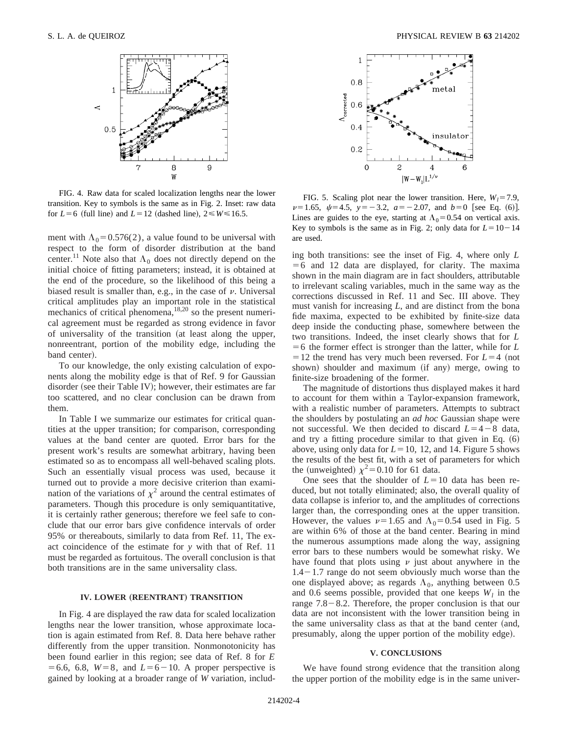

FIG. 4. Raw data for scaled localization lengths near the lower transition. Key to symbols is the same as in Fig. 2. Inset: raw data for  $L=6$  (full line) and  $L=12$  (dashed line),  $2 \le W \le 16.5$ .

ment with  $\Lambda_0$ =0.576(2), a value found to be universal with respect to the form of disorder distribution at the band center.<sup>11</sup> Note also that  $\Lambda_0$  does not directly depend on the initial choice of fitting parameters; instead, it is obtained at the end of the procedure, so the likelihood of this being a biased result is smaller than, e.g., in the case of  $\nu$ . Universal critical amplitudes play an important role in the statistical mechanics of critical phenomena,<sup>18,20</sup> so the present numerical agreement must be regarded as strong evidence in favor of universality of the transition (at least along the upper, nonreentrant, portion of the mobility edge, including the band center).

To our knowledge, the only existing calculation of exponents along the mobility edge is that of Ref. 9 for Gaussian disorder (see their Table IV); however, their estimates are far too scattered, and no clear conclusion can be drawn from them.

In Table I we summarize our estimates for critical quantities at the upper transition; for comparison, corresponding values at the band center are quoted. Error bars for the present work's results are somewhat arbitrary, having been estimated so as to encompass all well-behaved scaling plots. Such an essentially visual process was used, because it turned out to provide a more decisive criterion than examination of the variations of  $\chi^2$  around the central estimates of parameters. Though this procedure is only semiquantitative, it is certainly rather generous; therefore we feel safe to conclude that our error bars give confidence intervals of order 95% or thereabouts, similarly to data from Ref. 11, The exact coincidence of the estimate for *y* with that of Ref. 11 must be regarded as fortuitous. The overall conclusion is that both transitions are in the same universality class.

# **IV. LOWER (REENTRANT) TRANSITION**

In Fig. 4 are displayed the raw data for scaled localization lengths near the lower transition, whose approximate location is again estimated from Ref. 8. Data here behave rather differently from the upper transition. Nonmonotonicity has been found earlier in this region; see data of Ref. 8 for *E*  $= 6.6, 6.8, W=8, \text{ and } L=6-10.$  A proper perspective is gained by looking at a broader range of *W* variation, includ-



FIG. 5. Scaling plot near the lower transition. Here,  $W_l = 7.9$ ,  $\nu=1.65, \psi=4.5, \nu=-3.2, a=-2.07, \text{ and } b=0$  [see Eq. (6)]. Lines are guides to the eye, starting at  $\Lambda_0=0.54$  on vertical axis. Key to symbols is the same as in Fig. 2; only data for  $L=10-14$ are used.

ing both transitions: see the inset of Fig. 4, where only *L*  $=6$  and 12 data are displayed, for clarity. The maxima shown in the main diagram are in fact shoulders, attributable to irrelevant scaling variables, much in the same way as the corrections discussed in Ref. 11 and Sec. III above. They must vanish for increasing *L*, and are distinct from the bona fide maxima, expected to be exhibited by finite-size data deep inside the conducting phase, somewhere between the two transitions. Indeed, the inset clearly shows that for *L*  $=6$  the former effect is stronger than the latter, while for *L*  $=12$  the trend has very much been reversed. For  $L=4$  (not shown) shoulder and maximum (if any) merge, owing to finite-size broadening of the former.

The magnitude of distortions thus displayed makes it hard to account for them within a Taylor-expansion framework, with a realistic number of parameters. Attempts to subtract the shoulders by postulating an *ad hoc* Gaussian shape were not successful. We then decided to discard  $L=4-8$  data, and try a fitting procedure similar to that given in Eq.  $(6)$ above, using only data for  $L=10$ , 12, and 14. Figure 5 shows the results of the best fit, with a set of parameters for which the (unweighted)  $\chi^2$  = 0.10 for 61 data.

One sees that the shoulder of  $L=10$  data has been reduced, but not totally eliminated; also, the overall quality of data collapse is inferior to, and the amplitudes of corrections larger than, the corresponding ones at the upper transition. However, the values  $\nu=1.65$  and  $\Lambda_0=0.54$  used in Fig. 5 are within 6% of those at the band center. Bearing in mind the numerous assumptions made along the way, assigning error bars to these numbers would be somewhat risky. We have found that plots using  $\nu$  just about anywhere in the  $1.4-1.7$  range do not seem obviously much worse than the one displayed above; as regards  $\Lambda_0$ , anything between 0.5 and 0.6 seems possible, provided that one keeps  $W_l$  in the range  $7.8-8.2$ . Therefore, the proper conclusion is that our data are not inconsistent with the lower transition being in the same universality class as that at the band center (and, presumably, along the upper portion of the mobility edge).

### **V. CONCLUSIONS**

We have found strong evidence that the transition along the upper portion of the mobility edge is in the same univer